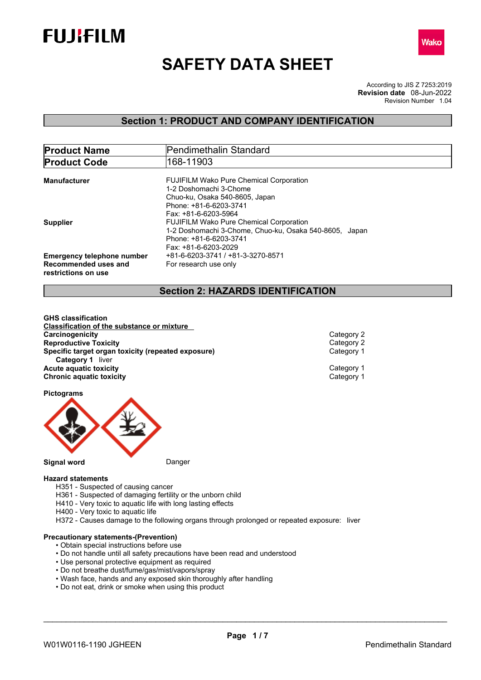



# **SAFETY DATA SHEET**

According to JIS Z 7253:2019 Revision Number 1.04 **Revision date** 08-Jun-2022

### **Section 1: PRODUCT AND COMPANY IDENTIFICATION**

| <b>Product Name</b>               | Pendimethalin Standard                                 |
|-----------------------------------|--------------------------------------------------------|
| <b>Product Code</b>               | 168-11903                                              |
| Manufacturer                      | <b>FUJIFILM Wako Pure Chemical Corporation</b>         |
|                                   | 1-2 Doshomachi 3-Chome                                 |
|                                   | Chuo-ku, Osaka 540-8605, Japan                         |
|                                   | Phone: +81-6-6203-3741                                 |
|                                   | Fax: +81-6-6203-5964                                   |
| <b>Supplier</b>                   | <b>FUJIFILM Wako Pure Chemical Corporation</b>         |
|                                   | 1-2 Doshomachi 3-Chome, Chuo-ku, Osaka 540-8605, Japan |
|                                   | Phone: +81-6-6203-3741                                 |
|                                   | Fax: +81-6-6203-2029                                   |
| <b>Emergency telephone number</b> | +81-6-6203-3741 / +81-3-3270-8571                      |
| Recommended uses and              | For research use only                                  |
| restrictions on use               |                                                        |

### **Section 2: HAZARDS IDENTIFICATION**

**GHS classification Classification of the substance or mixture Carcinogenicity** Category 2<br> **Category 2**<br> **Category 2**<br>
Category 2 **Reproductive Toxicity**<br> **Specific target organ toxicity (repeated exposure)**<br> **Specific target organ toxicity (repeated exposure) Specific target organ toxicity (repeated exposure) Category 1** liver **Acute aquatic toxicity**<br> **Category 1** Chronic aquatic toxicity<br>
Category 1 **Chronic aquatic toxicity** 

**Pictograms**



#### **Hazard statements**

- H351 Suspected of causing cancer
- H361 Suspected of damaging fertility or the unborn child
- H410 Very toxic to aquatic life with long lasting effects
- H400 Very toxic to aquatic life
- H372 Causes damage to the following organs through prolonged or repeated exposure: liver

### **Precautionary statements-(Prevention)**

- Obtain special instructions before use
- Do not handle until all safety precautions have been read and understood
- Use personal protective equipment as required
- Do not breathe dust/fume/gas/mist/vapors/spray
- Wash face, hands and any exposed skin thoroughly after handling
- Do not eat, drink or smoke when using this product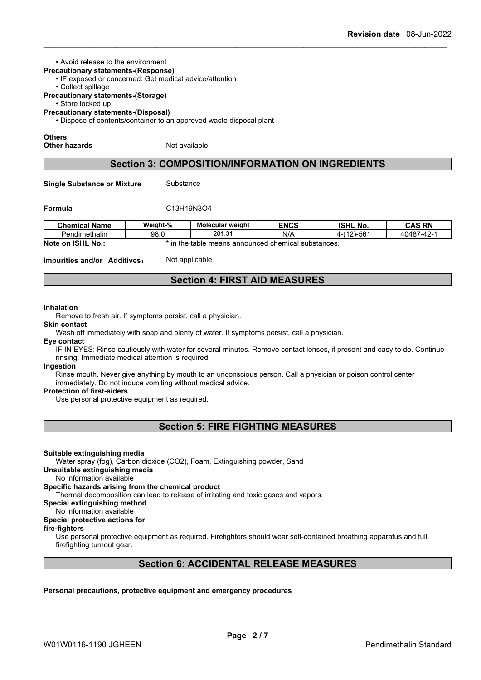#### • Avoid release to the environment

- **Precautionary statements-(Response)**
	- IF exposed or concerned: Get medical advice/attention
	- Collect spillage
- **Precautionary statements-(Storage)**
	- Store locked up

**Precautionary statements-(Disposal)**

• Dispose of contents/container to an approved waste disposal plant

#### **Others**

**Other hazards** Not available

### **Section 3: COMPOSITION/INFORMATION ON INGREDIENTS**

**Single Substance or Mixture** Substance

### **Formula** C13H19N3O4

| <b>Chemical Name</b>                                                                                 | Weight-%                                                          | <b>Molecular weight</b> | <b>ENCS</b> | <b>ISHL</b><br>. No. | <b>CAS RN</b> |  |
|------------------------------------------------------------------------------------------------------|-------------------------------------------------------------------|-------------------------|-------------|----------------------|---------------|--|
| Pendimethalin                                                                                        | 281.31<br>N/A<br>-561<br>40487<br>$\sim$<br>98.0<br>(40)<br>7-47- |                         |             |                      |               |  |
| <b>Note</b><br><b>ISHL</b><br>No<br>s announced chemical substances.<br>the<br>means<br>table<br>.on |                                                                   |                         |             |                      |               |  |

**Impurities and/or Additives:** Not applicable

### **Section 4: FIRST AID MEASURES**

#### **Inhalation**

Remove to fresh air. If symptoms persist, call a physician.

**Skin contact**

Wash off immediately with soap and plenty of water. If symptoms persist, call a physician.

**Eye contact**

IF IN EYES: Rinse cautiously with water for several minutes. Remove contact lenses, if present and easy to do. Continue rinsing. Immediate medical attention is required.

#### **Ingestion**

Rinse mouth. Never give anything by mouth to an unconscious person. Call a physician or poison control center immediately. Do not induce vomiting without medical advice.

### **Protection of first-aiders**

Use personal protective equipment as required.

**Section 5: FIRE FIGHTING MEASURES**

#### **Suitable extinguishing media**

Water spray (fog), Carbon dioxide (CO2), Foam, Extinguishing powder, Sand

#### **Unsuitable extinguishing media**

No information available

## **Specific hazards arising from the chemical product**

Thermal decomposition can lead to release of irritating and toxic gases and vapors.

### **Special extinguishing method**

### No information available

## **Special protective actions for**

**fire-fighters**

Use personal protective equipment as required.Firefighters should wear self-contained breathing apparatus and full firefighting turnout gear.

### **Section 6: ACCIDENTAL RELEASE MEASURES**

### **Personal precautions, protective equipment and emergency procedures**

W01W0116-1190 JGHFFN Pendimethalin Standard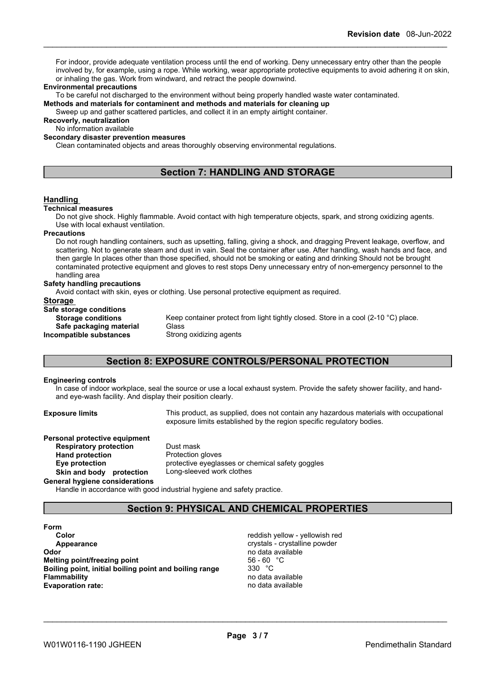For indoor, provide adequate ventilation process until the end of working. Deny unnecessary entry other than the people involved by, for example, using a rope. While working, wear appropriate protective equipments to avoid adhering it on skin, or inhaling the gas. Work from windward, and retract the people downwind.

#### **Environmental precautions**

To be careful not discharged to the environment without being properly handled waste water contaminated.

**Methods and materials for contaminent and methods and materials for cleaning up**

Sweep up and gather scattered particles, and collect it in an empty airtight container.

**Recoverly, neutralization** No information available

**Secondary disaster prevention measures**

Clean contaminated objects and areas thoroughly observing environmental regulations.

### **Section 7: HANDLING AND STORAGE**

### **Handling**

#### **Technical measures**

Do not give shock. Highly flammable. Avoid contact with high temperature objects, spark, and strong oxidizing agents. Use with local exhaust ventilation.

#### **Precautions**

Do not rough handling containers, such as upsetting, falling, giving a shock, and dragging Prevent leakage, overflow, and scattering. Not to generate steam and dust in vain. Seal the container after use. After handling, wash hands and face, and then gargle In places other than those specified, should not be smoking or eating and drinking Should not be brought contaminated protective equipment and gloves to rest stops Deny unnecessary entry of non-emergency personnel to the handling area

#### **Safety handling precautions**

Avoid contact with skin, eyes or clothing. Use personal protective equipment as required.

| Storage                   |                                                                                    |
|---------------------------|------------------------------------------------------------------------------------|
| Safe storage conditions   |                                                                                    |
| <b>Storage conditions</b> | Keep container protect from light tightly closed. Store in a cool (2-10 °C) place. |
| Safe packaging material   | Glass                                                                              |
| Incompatible substances   | Strong oxidizing agents                                                            |

### **Section 8: EXPOSURE CONTROLS/PERSONAL PROTECTION**

#### **Engineering controls**

In case of indoorworkplace, seal the source or use a local exhaust system. Provide the safety shower facility, and hand and eye-wash facility. And display their position clearly.

**Exposure limits** This product, as supplied, does not contain any hazardous materials with occupational exposure limits established by the region specific regulatory bodies.

**Personal protective equipment**<br>**Respiratory protection** Dust mask **Respiratory** protection **Hand protection**<br> **Eye protection**<br> **Eye protection**<br> **Protective eyeglas Skin and body protection** Long-sleeved work clothes

protective eyeglasses or chemical safety goggles

**General hygiene considerations**

Handle in accordance with good industrial hygiene and safety practice.

### **Section 9: PHYSICAL AND CHEMICAL PROPERTIES**

**Form Color Color Color Color** *Color Color Color Color* **<b>***Color Color Color Color Color Color Color Color Color Color Color Color Color Color Color* **Appearance CRYSTALLING Appearance** crystals - crystalline powder **Odor Odor** no data available no data available no data available no data available no data available no data available no data available no data available no data available no data available no data available no data av **Melting point/freezing point**<br>**Boiling point, initial boiling point and boiling range**  $330^{\circ}$ C **Boiling** point, initial boiling point and boiling range **Flammability** no data available **Evaporation rate:** no data available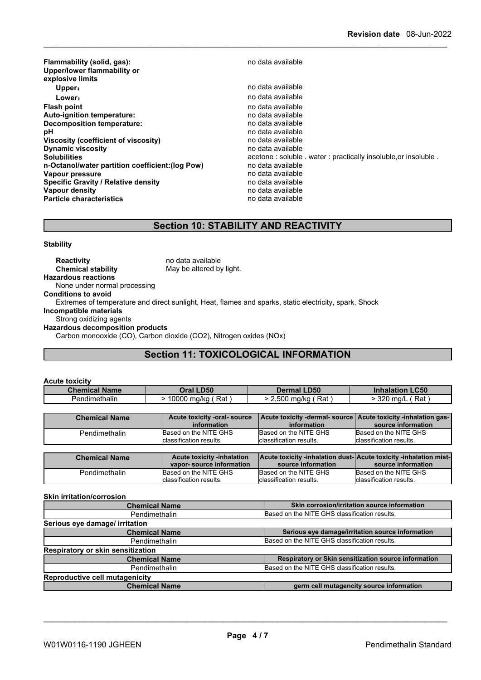| Flammability (solid, gas):<br>Upper/lower flammability or<br>explosive limits | no data available                                             |
|-------------------------------------------------------------------------------|---------------------------------------------------------------|
| Upper:                                                                        | no data available                                             |
| Lower:                                                                        | no data available                                             |
| <b>Flash point</b>                                                            | no data available                                             |
| Auto-ignition temperature:                                                    | no data available                                             |
| Decomposition temperature:                                                    | no data available                                             |
| рH                                                                            | no data available                                             |
| Viscosity (coefficient of viscosity)                                          | no data available                                             |
| <b>Dynamic viscosity</b>                                                      | no data available                                             |
| <b>Solubilities</b>                                                           | acetone: soluble . water: practically insoluble.or insoluble. |
| n-Octanol/water partition coefficient: (log Pow)                              | no data available                                             |
| Vapour pressure                                                               | no data available                                             |
| <b>Specific Gravity / Relative density</b>                                    | no data available                                             |
| Vapour density                                                                | no data available                                             |
| <b>Particle characteristics</b>                                               | no data available                                             |

# **Section 10: STABILITY AND REACTIVITY**

**Stability**

| <b>Reactivity</b>                       | no data available                                                                                      |
|-----------------------------------------|--------------------------------------------------------------------------------------------------------|
| <b>Chemical stability</b>               | May be altered by light.                                                                               |
| <b>Hazardous reactions</b>              |                                                                                                        |
| None under normal processing            |                                                                                                        |
| <b>Conditions to avoid</b>              |                                                                                                        |
|                                         | Extremes of temperature and direct sunlight, Heat, flames and sparks, static electricity, spark, Shock |
| Incompatible materials                  |                                                                                                        |
| Strong oxidizing agents                 |                                                                                                        |
| <b>Hazardous decomposition products</b> |                                                                                                        |
|                                         | Carbon monooxide (CO), Carbon dioxide (CO2), Nitrogen oxides (NOx)                                     |
|                                         |                                                                                                        |

# **Section 11: TOXICOLOGICAL INFORMATION**

| <b>Acute toxicity</b> |                       |                       |                        |
|-----------------------|-----------------------|-----------------------|------------------------|
| <b>Chemical Name</b>  | Oral LD50             | Dermal LD50           | <b>Inhalation LC50</b> |
| Pendimethalin         | · 10000 mg/kg ( Rat ) | ∙ 2,500 mg/kg ( Rat ) | $>$ 320 ma/L<br>Rat    |
|                       |                       |                       |                        |

| <b>Chemical Name</b> | Acute toxicity -oral-source | Acute toxicity -dermal- source   Acute toxicity -inhalation gas- |                          |
|----------------------|-----------------------------|------------------------------------------------------------------|--------------------------|
|                      | information                 | information                                                      | source information       |
| Pendimethalin        | Based on the NITE GHS       | Based on the NITE GHS                                            | Based on the NITE GHS    |
|                      | classification results.     | classification results.                                          | Iclassification results. |

| Based on the NITE GHS<br>Based on the NITE GHS<br>Based on the NITE GHS<br>Pendimethalin | <b>Chemical Name</b> | <b>Acute toxicity -inhalation</b><br>vapor-source information | source information      | <b>Acute toxicity -inhalation dust-Acute toxicity -inhalation mist-</b><br>source information |
|------------------------------------------------------------------------------------------|----------------------|---------------------------------------------------------------|-------------------------|-----------------------------------------------------------------------------------------------|
|                                                                                          |                      | Iclassification results.                                      | classification results. | Iclassification results.                                                                      |

#### **Skin irritation/corrosion**

| <b>Chemical Name</b>                     | Skin corrosion/irritation source information         |  |  |
|------------------------------------------|------------------------------------------------------|--|--|
| Pendimethalin                            | Based on the NITE GHS classification results.        |  |  |
| Serious eye damage/ irritation           |                                                      |  |  |
| <b>Chemical Name</b>                     | Serious eye damage/irritation source information     |  |  |
| Pendimethalin                            | Based on the NITE GHS classification results.        |  |  |
| <b>Respiratory or skin sensitization</b> |                                                      |  |  |
| <b>Chemical Name</b>                     | Respiratory or Skin sensitization source information |  |  |
| Pendimethalin                            | Based on the NITE GHS classification results.        |  |  |
| <b>Reproductive cell mutagenicity</b>    |                                                      |  |  |
| <b>Chemical Name</b>                     | germ cell mutagencity source information             |  |  |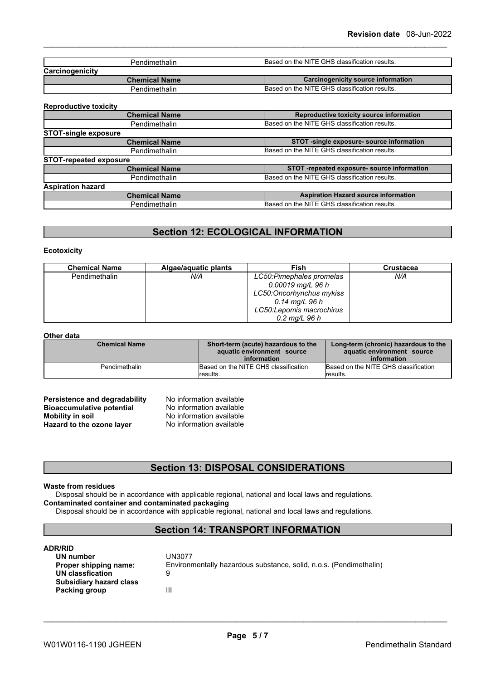| Based on the NITE GHS classification results.<br>Pendimethalin |                                               |
|----------------------------------------------------------------|-----------------------------------------------|
| Carcinogenicity                                                |                                               |
| <b>Chemical Name</b>                                           | Carcinogenicity source information            |
| Pendimethalin                                                  | Based on the NITE GHS classification results. |

#### **Reproductive toxicity**

| $1.981$ , $0.440$ , $1.70$ , $0.7101$ |                                               |
|---------------------------------------|-----------------------------------------------|
| <b>Chemical Name</b>                  | Reproductive toxicity source information      |
| Pendimethalin                         | Based on the NITE GHS classification results. |
| <b>STOT-single exposure</b>           |                                               |
| <b>Chemical Name</b>                  | STOT -single exposure- source information     |
| Pendimethalin                         | Based on the NITE GHS classification results. |
| <b>STOT-repeated exposure</b>         |                                               |
| <b>Chemical Name</b>                  | STOT -repeated exposure- source information   |
| Pendimethalin                         | Based on the NITE GHS classification results. |
| <b>Aspiration hazard</b>              |                                               |
| <b>Chemical Name</b>                  | <b>Aspiration Hazard source information</b>   |
| Pendimethalin                         | Based on the NITE GHS classification results. |
|                                       |                                               |

### **Section 12: ECOLOGICAL INFORMATION**

#### **Ecotoxicity**

| <b>Chemical Name</b> | Algae/aquatic plants | Fish                      | <b>Crustacea</b> |
|----------------------|----------------------|---------------------------|------------------|
| <b>Pendimethalin</b> | N/A                  | LC50: Pimephales promelas | N/A              |
|                      |                      | $0.00019$ mg/L 96 h       |                  |
|                      |                      | LC50:Oncorhynchus mykiss  |                  |
|                      |                      | $0.14$ mg/L 96 h          |                  |
|                      |                      | LC50: Lepomis macrochirus |                  |
|                      |                      | $0.2 \text{ mg/L}$ 96 h   |                  |

#### **Other data**

| <b>Chemical Name</b> | Short-term (acute) hazardous to the<br>aquatic environment source<br>information | Long-term (chronic) hazardous to the<br>aquatic environment source<br>information |
|----------------------|----------------------------------------------------------------------------------|-----------------------------------------------------------------------------------|
| Pendimethalin        | Based on the NITE GHS classification                                             | Based on the NITE GHS classification                                              |
|                      | lresults.                                                                        | Iresults.                                                                         |

| Persistence and degradability    |
|----------------------------------|
| <b>Bioaccumulative potential</b> |
| <b>Mobility in soil</b>          |
| Hazard to the ozone layer        |

**No information available No information available No information available Hazard to the ozone layer** No information available

### **Section 13: DISPOSAL CONSIDERATIONS**

#### **Waste from residues**

Disposal should be in accordance with applicable regional, national and local laws and regulations. **Contaminated container and contaminated packaging**

Disposal should be in accordance with applicable regional, national and local laws and regulations.

### **Section 14: TRANSPORT INFORMATION**

#### **ADR/RID**

| UN number               | UN3077                                                             |
|-------------------------|--------------------------------------------------------------------|
| Proper shipping name:   | Environmentally hazardous substance, solid, n.o.s. (Pendimethalin) |
| UN classfication        |                                                                    |
| Subsidiary hazard class |                                                                    |
| Packing group           | Ш                                                                  |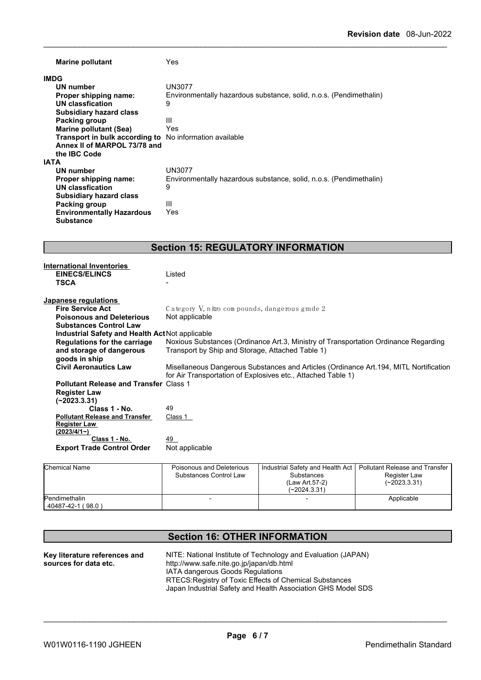| <b>Marine pollutant</b>                                        | Yes.                                                               |  |  |
|----------------------------------------------------------------|--------------------------------------------------------------------|--|--|
| <b>IMDG</b>                                                    |                                                                    |  |  |
| UN number                                                      | UN3077                                                             |  |  |
| Proper shipping name:                                          | Environmentally hazardous substance, solid, n.o.s. (Pendimethalin) |  |  |
| UN classfication                                               | 9                                                                  |  |  |
| <b>Subsidiary hazard class</b>                                 |                                                                    |  |  |
| <b>Packing group</b>                                           | Ш                                                                  |  |  |
| Marine pollutant (Sea)                                         | Yes                                                                |  |  |
| <b>Transport in bulk according to</b> No information available |                                                                    |  |  |
| Annex II of MARPOL 73/78 and                                   |                                                                    |  |  |
| the <b>IBC</b> Code                                            |                                                                    |  |  |
| <b>IATA</b>                                                    |                                                                    |  |  |
| UN number                                                      | UN3077                                                             |  |  |
| Proper shipping name:                                          | Environmentally hazardous substance, solid, n.o.s. (Pendimethalin) |  |  |
| UN classfication                                               | 9                                                                  |  |  |
| <b>Subsidiary hazard class</b>                                 |                                                                    |  |  |
| Packing group                                                  | Ш                                                                  |  |  |
| <b>Environmentally Hazardous</b>                               | Yes                                                                |  |  |
| <b>Substance</b>                                               |                                                                    |  |  |

# **Section 15: REGULATORY INFORMATION**

| <b>International Inventories</b>                |                                                                                        |
|-------------------------------------------------|----------------------------------------------------------------------------------------|
| <b>EINECS/ELINCS</b>                            | Listed                                                                                 |
| <b>TSCA</b>                                     |                                                                                        |
|                                                 |                                                                                        |
| Japanese regulations                            |                                                                                        |
| <b>Fire Service Act</b>                         | Category V, nitro compounds, dangerous grade 2                                         |
| <b>Poisonous and Deleterious</b>                | Not applicable                                                                         |
| <b>Substances Control Law</b>                   |                                                                                        |
| Industrial Safety and Health Act Not applicable |                                                                                        |
| Regulations for the carriage                    | Noxious Substances (Ordinance Art.3, Ministry of Transportation Ordinance Regarding    |
| and storage of dangerous                        | Transport by Ship and Storage, Attached Table 1)                                       |
| goods in ship                                   |                                                                                        |
| <b>Civil Aeronautics Law</b>                    | Misellaneous Dangerous Substances and Articles (Ordinance Art. 194, MITL Nortification |
|                                                 | for Air Transportation of Explosives etc., Attached Table 1)                           |
| <b>Pollutant Release and Transfer Class 1</b>   |                                                                                        |
| <b>Register Law</b>                             |                                                                                        |
| $(-2023.3.31)$                                  |                                                                                        |
| Class 1 - No.                                   | 49                                                                                     |
| <b>Pollutant Release and Transfer</b>           | Class 1                                                                                |
| <b>Register Law</b>                             |                                                                                        |
| $(2023/4/1-)$                                   |                                                                                        |
| Class 1 - No.                                   | 49                                                                                     |
| <b>Export Trade Control Order</b>               | Not applicable                                                                         |
|                                                 |                                                                                        |

| Chemical Name                      | Poisonous and Deleterious<br>Substances Control Law | Substances<br>(Law Art.57-2)<br>$(-2024.3.31)$ | Industrial Safety and Health Act   Pollutant Release and Transfer<br>Register Law<br>$(-2023.3.31)$ |
|------------------------------------|-----------------------------------------------------|------------------------------------------------|-----------------------------------------------------------------------------------------------------|
| Pendimethalin<br>40487-42-1 (98.0) |                                                     |                                                | Applicable                                                                                          |

# **Section 16: OTHER INFORMATION**

| Key literature references and | NITE: National Institute of Technology and Evaluation (JAPAN) |
|-------------------------------|---------------------------------------------------------------|
| sources for data etc.         | http://www.safe.nite.go.jp/japan/db.html                      |
|                               | IATA dangerous Goods Regulations                              |
|                               | RTECS: Registry of Toxic Effects of Chemical Substances       |
|                               | Japan Industrial Safety and Health Association GHS Model SDS  |